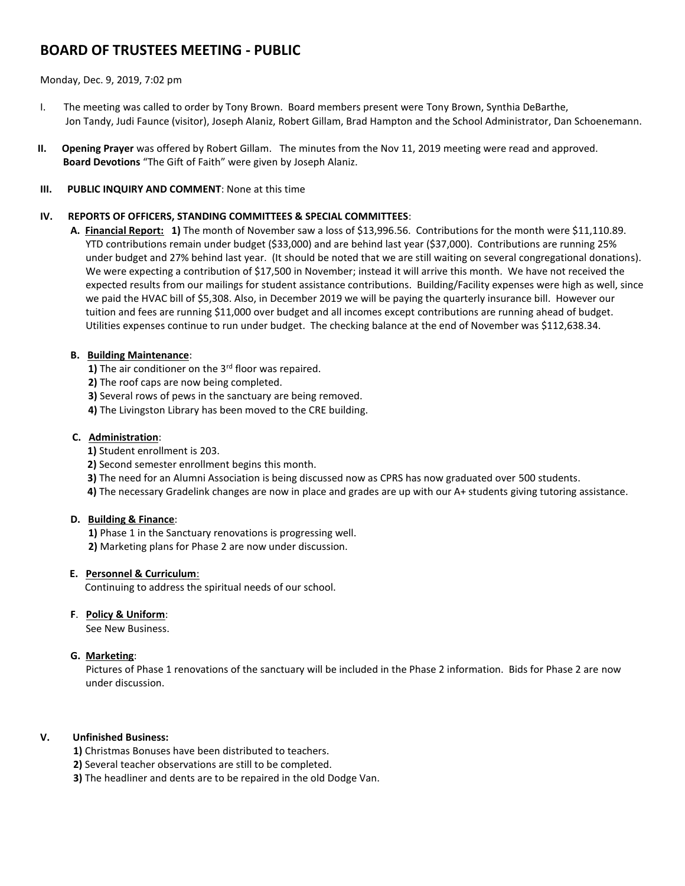# **BOARD OF TRUSTEES MEETING - PUBLIC**

### Monday, Dec. 9, 2019, 7:02 pm

- I. The meeting was called to order by Tony Brown. Board members present were Tony Brown, Synthia DeBarthe, Jon Tandy, Judi Faunce (visitor), Joseph Alaniz, Robert Gillam, Brad Hampton and the School Administrator, Dan Schoenemann.
- **II. Opening Prayer** was offered by Robert Gillam. The minutes from the Nov 11, 2019 meeting were read and approved.  **Board Devotions** "The Gift of Faith" were given by Joseph Alaniz.

#### **III. PUBLIC INQUIRY AND COMMENT**: None at this time

## **IV. REPORTS OF OFFICERS, STANDING COMMITTEES & SPECIAL COMMITTEES**:

**A. Financial Report: 1)** The month of November saw a loss of \$13,996.56. Contributions for the month were \$11,110.89. YTD contributions remain under budget (\$33,000) and are behind last year (\$37,000). Contributions are running 25% under budget and 27% behind last year. (It should be noted that we are still waiting on several congregational donations). We were expecting a contribution of \$17,500 in November; instead it will arrive this month. We have not received the expected results from our mailings for student assistance contributions. Building/Facility expenses were high as well, since we paid the HVAC bill of \$5,308. Also, in December 2019 we will be paying the quarterly insurance bill. However our tuition and fees are running \$11,000 over budget and all incomes except contributions are running ahead of budget. Utilities expenses continue to run under budget. The checking balance at the end of November was \$112,638.34.

### **B. Building Maintenance**:

**1)** The air conditioner on the 3<sup>rd</sup> floor was repaired.

- **2)** The roof caps are now being completed.
- **3)** Several rows of pews in the sanctuary are being removed.
- **4)** The Livingston Library has been moved to the CRE building.

#### **C. Administration**:

- **1)** Student enrollment is 203.
- **2)** Second semester enrollment begins this month.
- **3)** The need for an Alumni Association is being discussed now as CPRS has now graduated over 500 students.
- **4)** The necessary Gradelink changes are now in place and grades are up with our A+ students giving tutoring assistance.

### **D. Building & Finance**:

**1)** Phase 1 in the Sanctuary renovations is progressing well.

**2)** Marketing plans for Phase 2 are now under discussion.

### **E. Personnel & Curriculum**:

Continuing to address the spiritual needs of our school.

### **F**. **Policy & Uniform**:

See New Business.

### **G. Marketing**:

 Pictures of Phase 1 renovations of the sanctuary will be included in the Phase 2 information. Bids for Phase 2 are now under discussion.

### **V. Unfinished Business:**

 **1)** Christmas Bonuses have been distributed to teachers.

**2)** Several teacher observations are still to be completed.

**3)** The headliner and dents are to be repaired in the old Dodge Van.